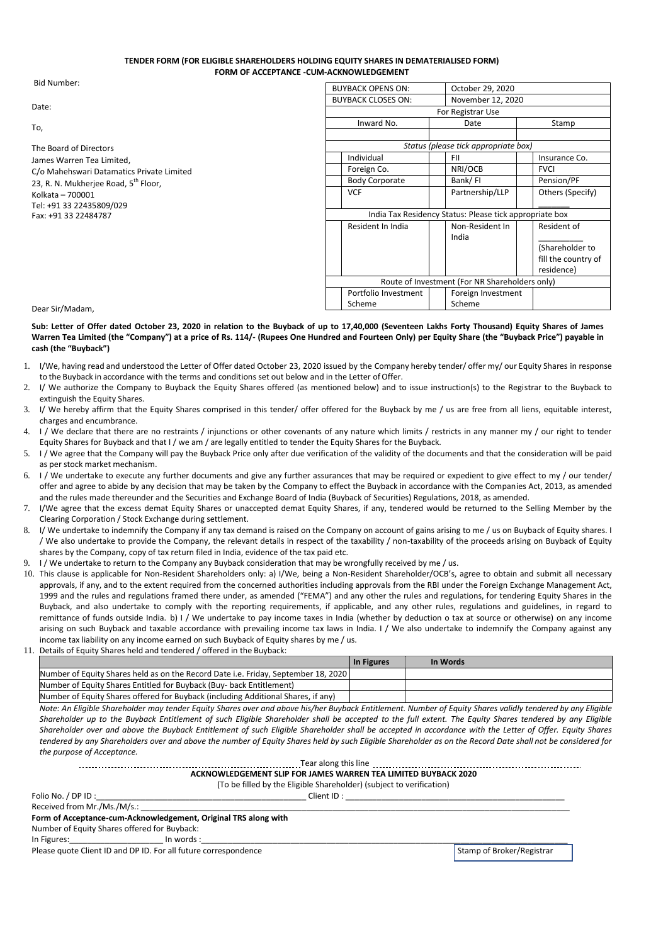## **TENDER FORM (FOR ELIGIBLE SHAREHOLDERS HOLDING EQUITY SHARES IN DEMATERIALISED FORM) FORM OF ACCEPTANCE -CUM-ACKNOWLEDGEMENT**

Bid Number:

Date:

To,

The Board of Directors James Warren Tea Limited, C/o Mahehswari Datamatics Private Limited 23, R. N. Mukherjee Road, 5<sup>th</sup> Floor, Kolkata – 700001 Tel: +91 33 22435809/029 Fax: +91 33 22484787

| <b>BUYBACK OPENS ON:</b>                                |  | October 29, 2020                     |  |                     |
|---------------------------------------------------------|--|--------------------------------------|--|---------------------|
| <b>BUYBACK CLOSES ON:</b>                               |  | November 12, 2020                    |  |                     |
| For Registrar Use                                       |  |                                      |  |                     |
| Inward No.                                              |  | Date                                 |  | Stamp               |
|                                                         |  |                                      |  |                     |
|                                                         |  | Status (please tick appropriate box) |  |                     |
| Individual                                              |  | FII                                  |  | Insurance Co.       |
| Foreign Co.                                             |  | NRI/OCB                              |  | <b>FVCI</b>         |
| <b>Body Corporate</b>                                   |  | Bank/FI                              |  | Pension/PF          |
| <b>VCF</b>                                              |  | Partnership/LLP                      |  | Others (Specify)    |
|                                                         |  |                                      |  |                     |
| India Tax Residency Status: Please tick appropriate box |  |                                      |  |                     |
| Resident In India                                       |  | Non-Resident In                      |  | Resident of         |
|                                                         |  | India                                |  |                     |
|                                                         |  |                                      |  | (Shareholder to     |
|                                                         |  |                                      |  | fill the country of |
|                                                         |  |                                      |  | residence)          |
| Route of Investment (For NR Shareholders only)          |  |                                      |  |                     |
| Portfolio Investment                                    |  | Foreign Investment                   |  |                     |
| Scheme                                                  |  | Scheme                               |  |                     |

Dear Sir/Madam,

**Sub: Letter of Offer dated October 23, 2020 in relation to the Buyback of up to 17,40,000 (Seventeen Lakhs Forty Thousand) Equity Shares of James Warren Tea Limited (the "Company") at a price of Rs. 114/- (Rupees One Hundred and Fourteen Only) per Equity Share (the "Buyback Price") payable in cash (the "Buyback")**

- 1. I/We, having read and understood the Letter of Offer dated October 23, 2020 issued by the Company hereby tender/ offer my/ our Equity Shares in response to the Buyback in accordance with the terms and conditions set out below and in the Letter ofOffer.
- 2. I/ We authorize the Company to Buyback the Equity Shares offered (as mentioned below) and to issue instruction(s) to the Registrar to the Buyback to extinguish the Equity Shares.
- 3. I/ We hereby affirm that the Equity Shares comprised in this tender/ offer offered for the Buyback by me / us are free from all liens, equitable interest, charges and encumbrance.
- 4. I / We declare that there are no restraints / injunctions or other covenants of any nature which limits / restricts in any manner my / our right to tender Equity Shares for Buyback and that I / we am / are legally entitled to tender the Equity Shares for the Buyback.
- 5. I / We agree that the Company will pay the Buyback Price only after due verification of the validity of the documents and that the consideration will be paid as per stock market mechanism.
- 6. I / We undertake to execute any further documents and give any further assurances that may be required or expedient to give effect to my / our tender/ offer and agree to abide by any decision that may be taken by the Company to effect the Buyback in accordance with the Companies Act, 2013, as amended and the rules made thereunder and the Securities and Exchange Board of India (Buyback of Securities) Regulations, 2018, as amended.
- 7. I/We agree that the excess demat Equity Shares or unaccepted demat Equity Shares, if any, tendered would be returned to the Selling Member by the Clearing Corporation / Stock Exchange during settlement.
- 8. I/ We undertake to indemnify the Company if any tax demand is raised on the Company on account of gains arising to me / us on Buyback of Equity shares. I / We also undertake to provide the Company, the relevant details in respect of the taxability / non-taxability of the proceeds arising on Buyback of Equity shares by the Company, copy of tax return filed in India, evidence of the tax paid etc.
- I / We undertake to return to the Company any Buyback consideration that may be wrongfully received by me / us.
- 10. This clause is applicable for Non-Resident Shareholders only: a) I/We, being a Non-Resident Shareholder/OCB's, agree to obtain and submit all necessary approvals, if any, and to the extent required from the concerned authorities including approvals from the RBI under the Foreign Exchange Management Act, 1999 and the rules and regulations framed there under, as amended ("FEMA") and any other the rules and regulations, for tendering Equity Shares in the Buyback, and also undertake to comply with the reporting requirements, if applicable, and any other rules, regulations and guidelines, in regard to remittance of funds outside India. b) I / We undertake to pay income taxes in India (whether by deduction o tax at source or otherwise) on any income arising on such Buyback and taxable accordance with prevailing income tax laws in India. I / We also undertake to indemnify the Company against any income tax liability on any income earned on such Buyback of Equity shares by me / us.
- 11. Details of Equity Shares held and tendered / offered in the Buyback:

|                                                                                    | In Figures | In Words |  |
|------------------------------------------------------------------------------------|------------|----------|--|
| Number of Equity Shares held as on the Record Date i.e. Friday, September 18, 2020 |            |          |  |
| Number of Equity Shares Entitled for Buyback (Buy- back Entitlement)               |            |          |  |
| Number of Equity Shares offered for Buyback (including Additional Shares, if any)  |            |          |  |

Note: An Eligible Shareholder may tender Equity Shares over and above his/her Buyback Entitlement. Number of Equity Shares validly tendered by any Eligible Shareholder up to the Buyback Entitlement of such Eligible Shareholder shall be accepted to the full extent. The Equity Shares tendered by any Eligible *Shareholder over and above the Buyback Entitlement of such Eligible Shareholder shall be accepted in accordance with the Letter of Offer. Equity Shares*  tendered by any Shareholders over and above the number of Equity Shares held by such Eligible Shareholder as on the Record Date shall not be considered for *the purpose of Acceptance.*

| Tear along this line                                                 |  |  |  |
|----------------------------------------------------------------------|--|--|--|
| ACKNOWLEDGEMENT SLIP FOR JAMES WARREN TEA LIMITED BUYBACK 2020       |  |  |  |
| (To be filled by the Eligible Shareholder) (subject to verification) |  |  |  |

Folio No. / DP ID :\_\_\_\_\_\_\_\_\_\_\_\_\_\_\_\_\_\_\_\_\_\_\_\_\_\_\_\_\_\_\_\_\_\_\_\_\_\_\_\_\_\_\_\_\_\_\_ Client ID : \_\_\_\_\_\_\_\_\_\_\_\_\_\_\_\_\_\_\_\_\_\_\_\_\_\_\_\_\_\_\_\_\_\_\_\_\_\_\_\_\_\_\_\_\_\_\_\_\_

Received from Mr./Ms./M/s.

**Form of Acceptance-cum-Acknowledgement, Original TRS along with** Number of Equity Shares offered for Buyback:

In Figures:\_\_\_\_\_\_\_\_\_\_\_\_\_\_\_\_\_\_\_\_\_ In words :\_\_\_\_\_\_\_\_\_\_\_\_\_\_\_\_\_\_\_\_\_\_\_\_\_\_\_\_\_\_\_\_\_\_\_\_\_\_\_\_\_\_\_\_\_\_\_\_\_\_\_\_\_\_\_\_\_\_\_\_\_\_\_\_\_\_\_\_\_\_\_\_\_\_\_\_\_\_\_\_\_\_

Please quote Client ID and DP ID. For all future correspondence Stamp of Broker/Registrar